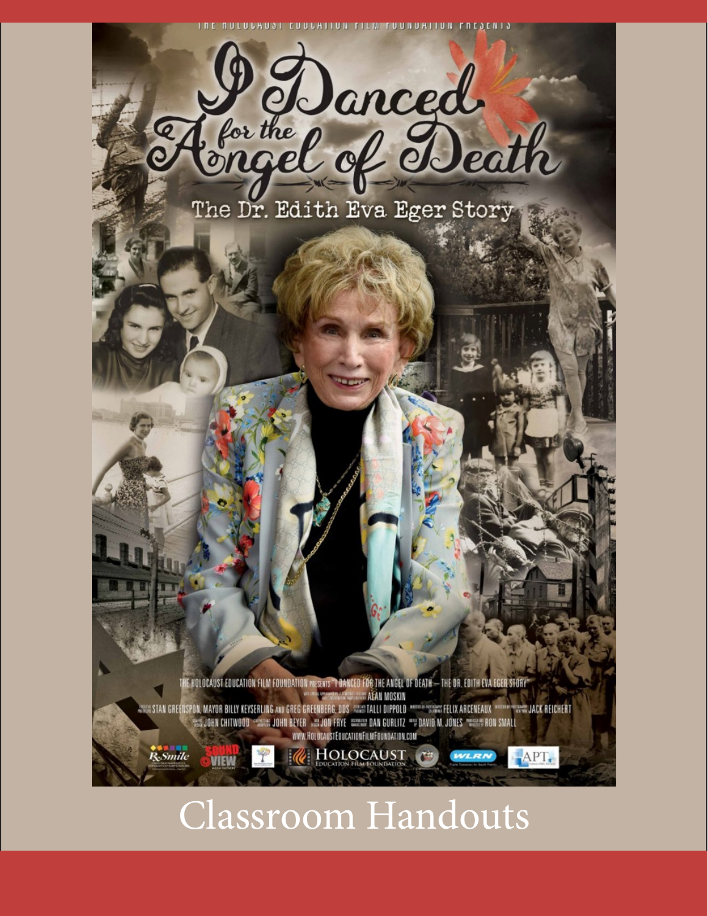UNTARANT ENAPTION LITM LANDAIIAN LUESEN



The Dr. Edith Eva Eger Story

IE HOLOCAUST EDUCATION FILM FOUNDATION PRESENTS "TORNCED FOR THE ANGEL OF DEATH — THE OR. EDITH EVA EGER STORY" **E AEAN MOSKIN WHICH JACK REICHERT** STAN GREENSPON, MAYOR BILLY KEYSERLING AND GREG GREENBERG, DOS (STALLI DIPPOLD) PROGRAM SERVICIPATELIX ARCENEAUX **WEEN JOHN BEYER WELJON FRYE WIRKIN DAN GURLITZ "" DAVID M. JONES "WIRK" RON SMALI** WWW.HOLOCAUSTEDUCATIONFILMFOUNDATION.COM

HOLOCAUST

 $APT.$ 

# Classroom Handouts

R<sub>e</sub>Smile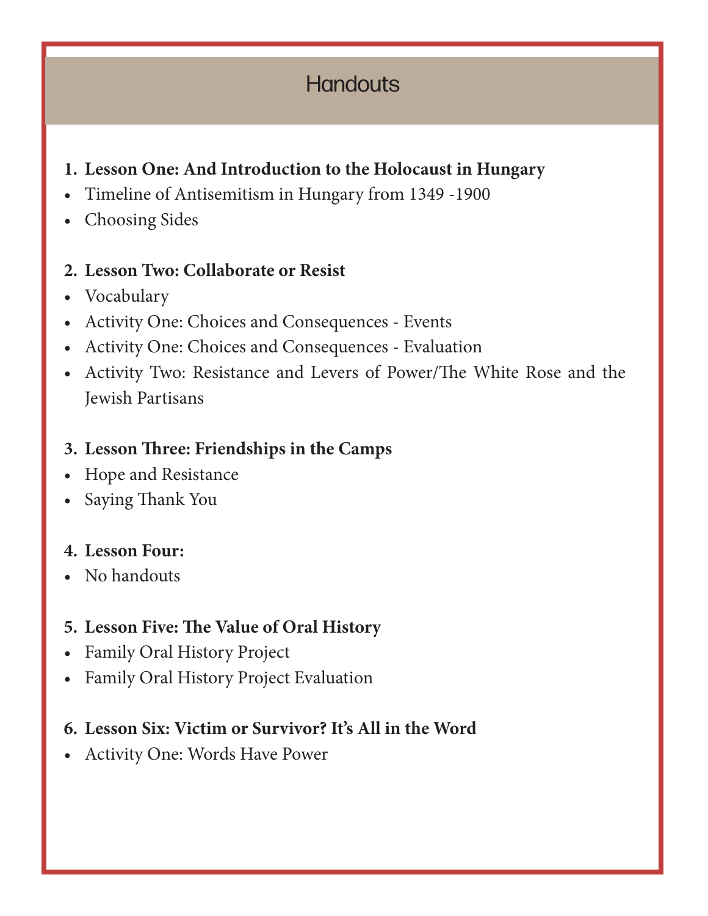# **Handouts**

### **1. Lesson One: And Introduction to the Holocaust in Hungary**

- Timeline of Antisemitism in Hungary from 1349 -1900
- Choosing Sides

#### **2. Lesson Two: Collaborate or Resist**

- Vocabulary
- Activity One: Choices and Consequences Events
- Activity One: Choices and Consequences Evaluation
- Activity Two: Resistance and Levers of Power/The White Rose and the Jewish Partisans

#### **3. Lesson Three: Friendships in the Camps**

- Hope and Resistance
- Saying Thank You

#### **4. Lesson Four:**

• No handouts

#### **5. Lesson Five: The Value of Oral History**

- Family Oral History Project
- Family Oral History Project Evaluation

#### **6. Lesson Six: Victim or Survivor? It's All in the Word**

• Activity One: Words Have Power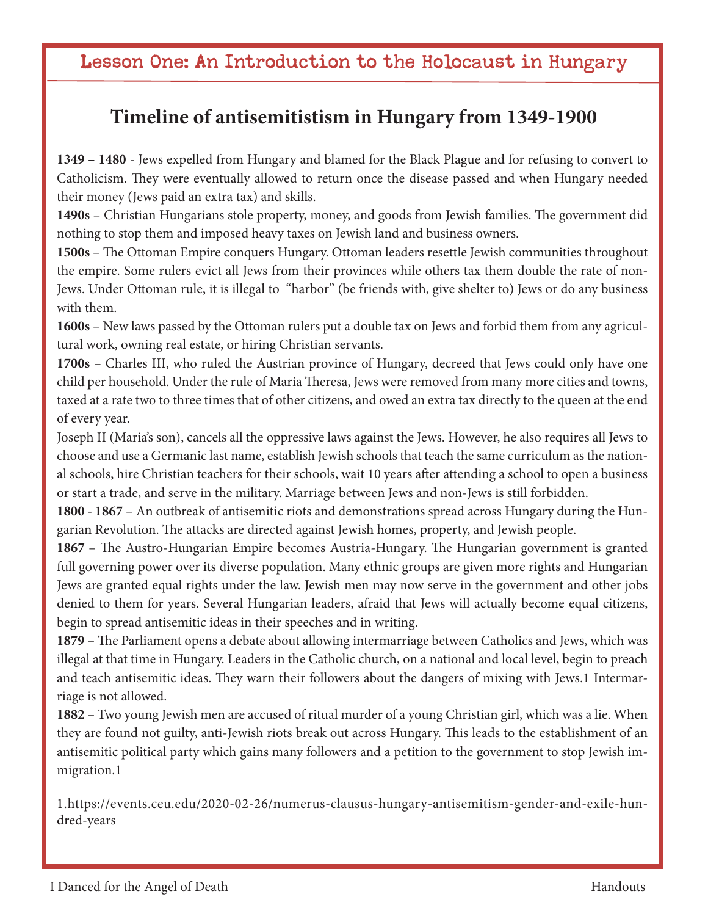# Lesson One: An Introduction to the Holocaust in Hungary

### **Timeline of antisemitistism in Hungary from 1349-1900**

**1349 – 1480** - Jews expelled from Hungary and blamed for the Black Plague and for refusing to convert to Catholicism. They were eventually allowed to return once the disease passed and when Hungary needed their money (Jews paid an extra tax) and skills.

**1490s** – Christian Hungarians stole property, money, and goods from Jewish families. The government did nothing to stop them and imposed heavy taxes on Jewish land and business owners.

**1500s** – The Ottoman Empire conquers Hungary. Ottoman leaders resettle Jewish communities throughout the empire. Some rulers evict all Jews from their provinces while others tax them double the rate of non-Jews. Under Ottoman rule, it is illegal to "harbor" (be friends with, give shelter to) Jews or do any business with them.

**1600s** – New laws passed by the Ottoman rulers put a double tax on Jews and forbid them from any agricultural work, owning real estate, or hiring Christian servants.

**1700s** – Charles III, who ruled the Austrian province of Hungary, decreed that Jews could only have one child per household. Under the rule of Maria Theresa, Jews were removed from many more cities and towns, taxed at a rate two to three times that of other citizens, and owed an extra tax directly to the queen at the end of every year.

Joseph II (Maria's son), cancels all the oppressive laws against the Jews. However, he also requires all Jews to choose and use a Germanic last name, establish Jewish schools that teach the same curriculum as the national schools, hire Christian teachers for their schools, wait 10 years after attending a school to open a business or start a trade, and serve in the military. Marriage between Jews and non-Jews is still forbidden.

**1800 - 1867** – An outbreak of antisemitic riots and demonstrations spread across Hungary during the Hungarian Revolution. The attacks are directed against Jewish homes, property, and Jewish people.

**1867** – The Austro-Hungarian Empire becomes Austria-Hungary. The Hungarian government is granted full governing power over its diverse population. Many ethnic groups are given more rights and Hungarian Jews are granted equal rights under the law. Jewish men may now serve in the government and other jobs denied to them for years. Several Hungarian leaders, afraid that Jews will actually become equal citizens, begin to spread antisemitic ideas in their speeches and in writing.

**1879** – The Parliament opens a debate about allowing intermarriage between Catholics and Jews, which was illegal at that time in Hungary. Leaders in the Catholic church, on a national and local level, begin to preach and teach antisemitic ideas. They warn their followers about the dangers of mixing with Jews.1 Intermarriage is not allowed.

**1882** – Two young Jewish men are accused of ritual murder of a young Christian girl, which was a lie. When they are found not guilty, anti-Jewish riots break out across Hungary. This leads to the establishment of an antisemitic political party which gains many followers and a petition to the government to stop Jewish immigration.1

1.https://events.ceu.edu/2020-02-26/numerus-clausus-hungary-antisemitism-gender-and-exile-hundred-years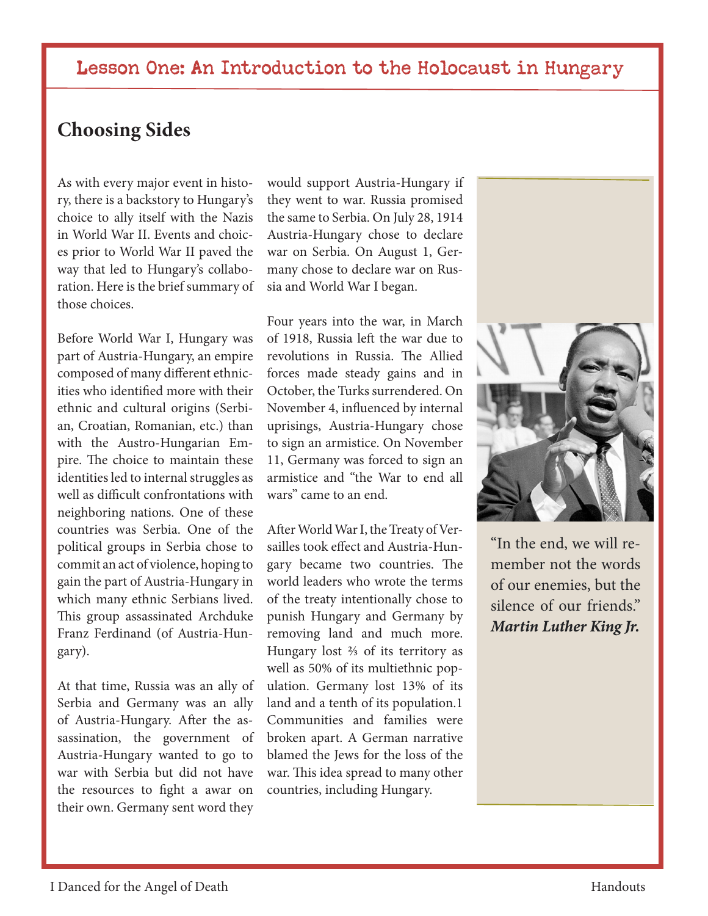#### Lesson One: An Introduction to the Holocaust in Hungary

#### **Choosing Sides**

As with every major event in history, there is a backstory to Hungary's choice to ally itself with the Nazis in World War II. Events and choices prior to World War II paved the way that led to Hungary's collaboration. Here is the brief summary of those choices.

Before World War I, Hungary was part of Austria-Hungary, an empire composed of many different ethnicities who identified more with their ethnic and cultural origins (Serbian, Croatian, Romanian, etc.) than with the Austro-Hungarian Empire. The choice to maintain these identities led to internal struggles as well as difficult confrontations with neighboring nations. One of these countries was Serbia. One of the political groups in Serbia chose to commit an act of violence, hoping to gain the part of Austria-Hungary in which many ethnic Serbians lived. This group assassinated Archduke Franz Ferdinand (of Austria-Hungary).

At that time, Russia was an ally of Serbia and Germany was an ally of Austria-Hungary. After the assassination, the government of Austria-Hungary wanted to go to war with Serbia but did not have the resources to fight a awar on their own. Germany sent word they

would support Austria-Hungary if they went to war. Russia promised the same to Serbia. On July 28, 1914 Austria-Hungary chose to declare war on Serbia. On August 1, Germany chose to declare war on Russia and World War I began.

Four years into the war, in March of 1918, Russia left the war due to revolutions in Russia. The Allied forces made steady gains and in October, the Turks surrendered. On November 4, influenced by internal uprisings, Austria-Hungary chose to sign an armistice. On November 11, Germany was forced to sign an armistice and "the War to end all wars" came to an end.

After World War I, the Treaty of Versailles took effect and Austria-Hungary became two countries. The world leaders who wrote the terms of the treaty intentionally chose to punish Hungary and Germany by removing land and much more. Hungary lost ⅔ of its territory as well as 50% of its multiethnic population. Germany lost 13% of its land and a tenth of its population.1 Communities and families were broken apart. A German narrative blamed the Jews for the loss of the war. This idea spread to many other countries, including Hungary.



"In the end, we will remember not the words of our enemies, but the silence of our friends." *Martin Luther King Jr.*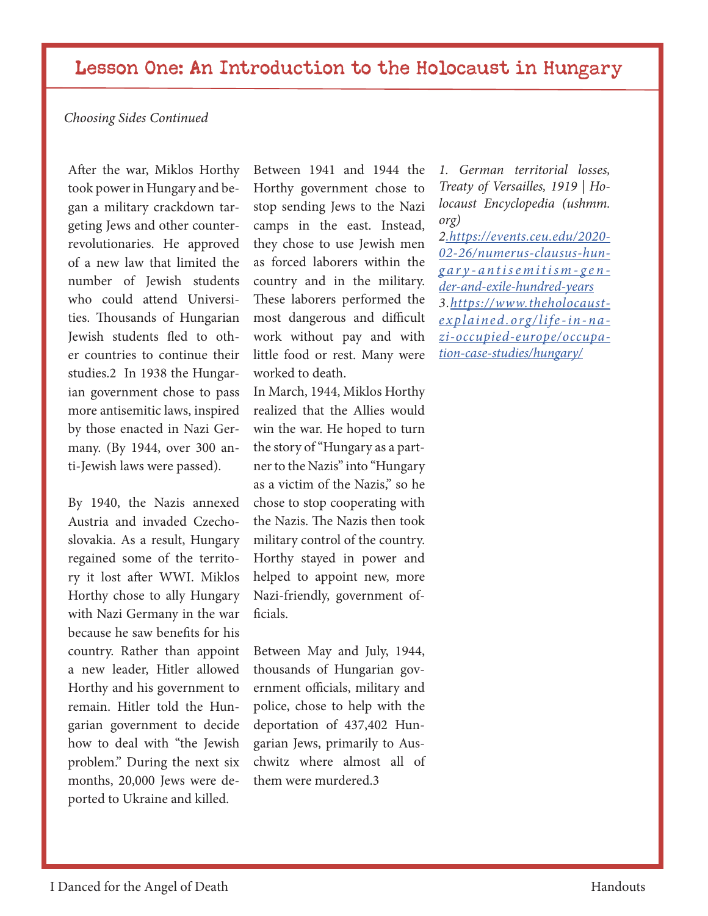#### Lesson One: An Introduction to the Holocaust in Hungary

#### *Choosing Sides Continued*

After the war, Miklos Horthy took power in Hungary and began a military crackdown targeting Jews and other counterrevolutionaries. He approved of a new law that limited the number of Jewish students who could attend Universities. Thousands of Hungarian Jewish students fled to other countries to continue their studies.2 In 1938 the Hungarian government chose to pass more antisemitic laws, inspired by those enacted in Nazi Germany. (By 1944, over 300 anti-Jewish laws were passed).

By 1940, the Nazis annexed Austria and invaded Czechoslovakia. As a result, Hungary regained some of the territory it lost after WWI. Miklos Horthy chose to ally Hungary with Nazi Germany in the war because he saw benefits for his country. Rather than appoint a new leader, Hitler allowed Horthy and his government to remain. Hitler told the Hungarian government to decide how to deal with "the Jewish problem." During the next six months, 20,000 Jews were deported to Ukraine and killed.

Between 1941 and 1944 the Horthy government chose to stop sending Jews to the Nazi camps in the east. Instead, they chose to use Jewish men as forced laborers within the country and in the military. These laborers performed the most dangerous and difficult work without pay and with little food or rest. Many were worked to death.

In March, 1944, Miklos Horthy realized that the Allies would win the war. He hoped to turn the story of "Hungary as a partner to the Nazis" into "Hungary as a victim of the Nazis," so he chose to stop cooperating with the Nazis. The Nazis then took military control of the country. Horthy stayed in power and helped to appoint new, more Nazi-friendly, government officials.

Between May and July, 1944, thousands of Hungarian government officials, military and police, chose to help with the deportation of 437,402 Hungarian Jews, primarily to Auschwitz where almost all of them were murdered.3

*1. German territorial losses, Treaty of Versailles, 1919 | Holocaust Encyclopedia (ushmm. org)*

*2.https://events.ceu.edu/2020- 02-26/numerus-clausus-hungary-antisemitism-gen der-and-exile-hundred-years 3.https://www.theholocaustexplained.org/life-in-nazi-occupied-europe/occupation-case-studies/hungary/*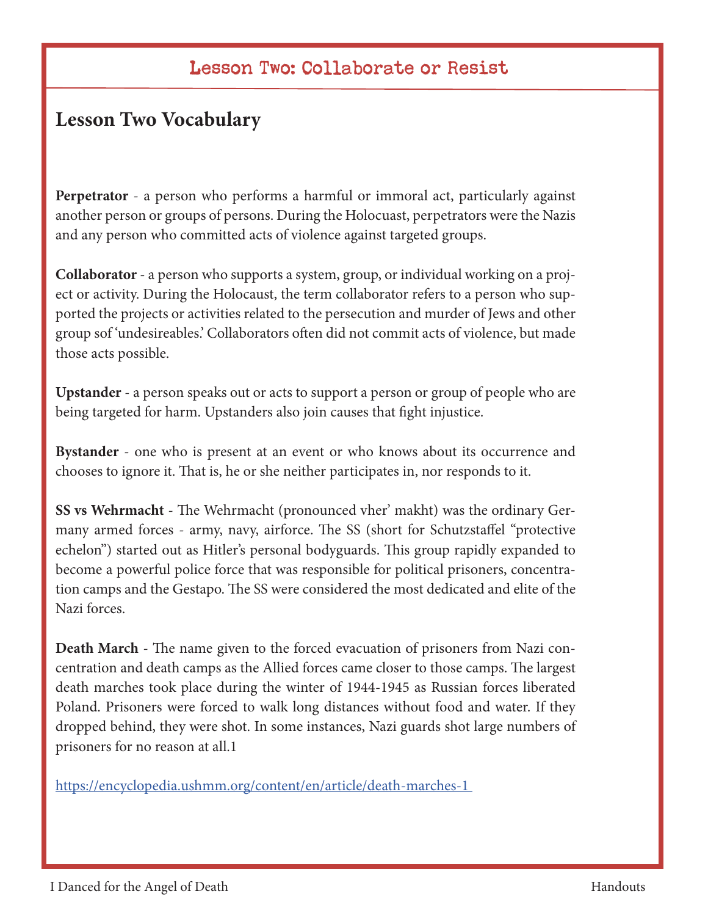## Lesson Two: Collaborate or Resist

## **Lesson Two Vocabulary**

**Perpetrator** - a person who performs a harmful or immoral act, particularly against another person or groups of persons. During the Holocuast, perpetrators were the Nazis and any person who committed acts of violence against targeted groups.

**Collaborator** - a person who supports a system, group, or individual working on a project or activity. During the Holocaust, the term collaborator refers to a person who supported the projects or activities related to the persecution and murder of Jews and other group sof 'undesireables.' Collaborators often did not commit acts of violence, but made those acts possible.

**Upstander** - a person speaks out or acts to support a person or group of people who are being targeted for harm. Upstanders also join causes that fight injustice.

**Bystander** - one who is present at an event or who knows about its occurrence and chooses to ignore it. That is, he or she neither participates in, nor responds to it.

**SS vs Wehrmacht** - The Wehrmacht (pronounced vher' makht) was the ordinary Germany armed forces - army, navy, airforce. The SS (short for Schutzstaffel "protective echelon") started out as Hitler's personal bodyguards. This group rapidly expanded to become a powerful police force that was responsible for political prisoners, concentration camps and the Gestapo. The SS were considered the most dedicated and elite of the Nazi forces.

**Death March** - The name given to the forced evacuation of prisoners from Nazi concentration and death camps as the Allied forces came closer to those camps. The largest death marches took place during the winter of 1944-1945 as Russian forces liberated Poland. Prisoners were forced to walk long distances without food and water. If they dropped behind, they were shot. In some instances, Nazi guards shot large numbers of prisoners for no reason at all.1

https://encyclopedia.ushmm.org/content/en/article/death-marches-1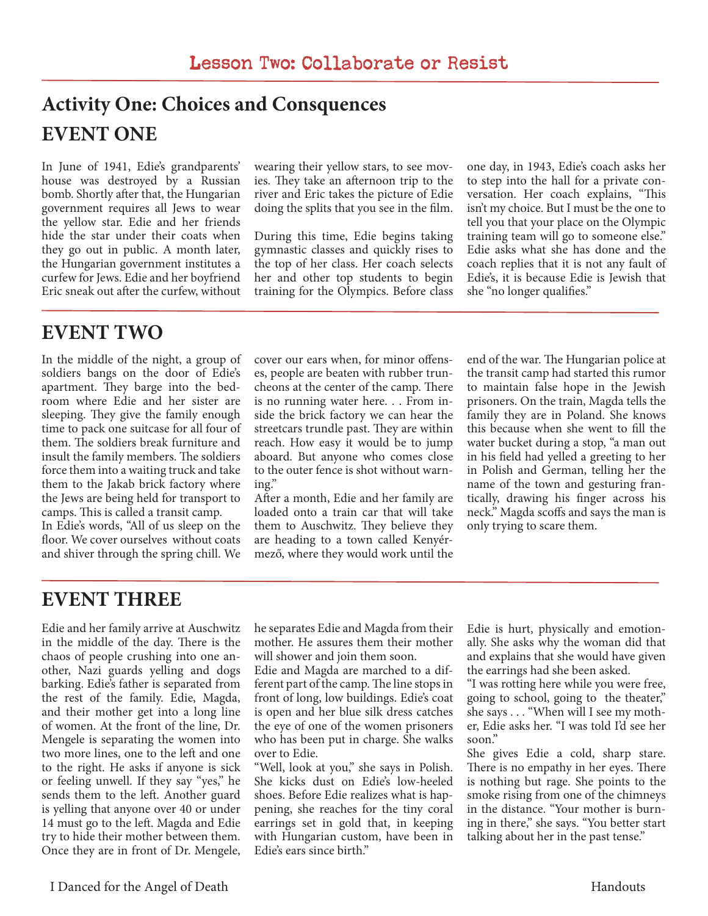# **Activity One: Choices and Consquences EVENT ONE**

In June of 1941, Edie's grandparents' house was destroyed by a Russian bomb. Shortly after that, the Hungarian government requires all Jews to wear the yellow star. Edie and her friends hide the star under their coats when they go out in public. A month later, the Hungarian government institutes a curfew for Jews. Edie and her boyfriend Eric sneak out after the curfew, without

wearing their yellow stars, to see movies. They take an afternoon trip to the river and Eric takes the picture of Edie doing the splits that you see in the film.

During this time, Edie begins taking gymnastic classes and quickly rises to the top of her class. Her coach selects her and other top students to begin training for the Olympics. Before class

one day, in 1943, Edie's coach asks her to step into the hall for a private conversation. Her coach explains, "This isn't my choice. But I must be the one to tell you that your place on the Olympic training team will go to someone else." Edie asks what she has done and the coach replies that it is not any fault of Edie's, it is because Edie is Jewish that she "no longer qualifies."

# **EVENT TWO**

In the middle of the night, a group of soldiers bangs on the door of Edie's apartment. They barge into the bedroom where Edie and her sister are sleeping. They give the family enough time to pack one suitcase for all four of them. The soldiers break furniture and insult the family members. The soldiers force them into a waiting truck and take them to the Jakab brick factory where the Jews are being held for transport to camps. This is called a transit camp.

In Edie's words, "All of us sleep on the floor. We cover ourselves without coats and shiver through the spring chill. We

cover our ears when, for minor offenses, people are beaten with rubber truncheons at the center of the camp. There is no running water here. . . From inside the brick factory we can hear the streetcars trundle past. They are within reach. How easy it would be to jump aboard. But anyone who comes close to the outer fence is shot without warning."

After a month, Edie and her family are loaded onto a train car that will take them to Auschwitz. They believe they are heading to a town called Kenyérmező, where they would work until the end of the war. The Hungarian police at the transit camp had started this rumor to maintain false hope in the Jewish prisoners. On the train, Magda tells the family they are in Poland. She knows this because when she went to fill the water bucket during a stop, "a man out in his field had yelled a greeting to her in Polish and German, telling her the name of the town and gesturing frantically, drawing his finger across his neck." Magda scoffs and says the man is only trying to scare them.

# **EVENT THREE**

Edie and her family arrive at Auschwitz in the middle of the day. There is the chaos of people crushing into one another, Nazi guards yelling and dogs barking. Edie's father is separated from the rest of the family. Edie, Magda, and their mother get into a long line of women. At the front of the line, Dr. Mengele is separating the women into two more lines, one to the left and one to the right. He asks if anyone is sick or feeling unwell. If they say "yes," he sends them to the left. Another guard is yelling that anyone over 40 or under 14 must go to the left. Magda and Edie try to hide their mother between them. Once they are in front of Dr. Mengele,

he separates Edie and Magda from their mother. He assures them their mother will shower and join them soon.

Edie and Magda are marched to a different part of the camp. The line stops in front of long, low buildings. Edie's coat is open and her blue silk dress catches the eye of one of the women prisoners who has been put in charge. She walks over to Edie.

"Well, look at you," she says in Polish. She kicks dust on Edie's low-heeled shoes. Before Edie realizes what is happening, she reaches for the tiny coral earrings set in gold that, in keeping with Hungarian custom, have been in Edie's ears since birth."

Edie is hurt, physically and emotionally. She asks why the woman did that and explains that she would have given the earrings had she been asked.

"I was rotting here while you were free, going to school, going to the theater," she says . . . "When will I see my mother, Edie asks her. "I was told I'd see her soon."

She gives Edie a cold, sharp stare. There is no empathy in her eyes. There is nothing but rage. She points to the smoke rising from one of the chimneys in the distance. "Your mother is burning in there," she says. "You better start talking about her in the past tense."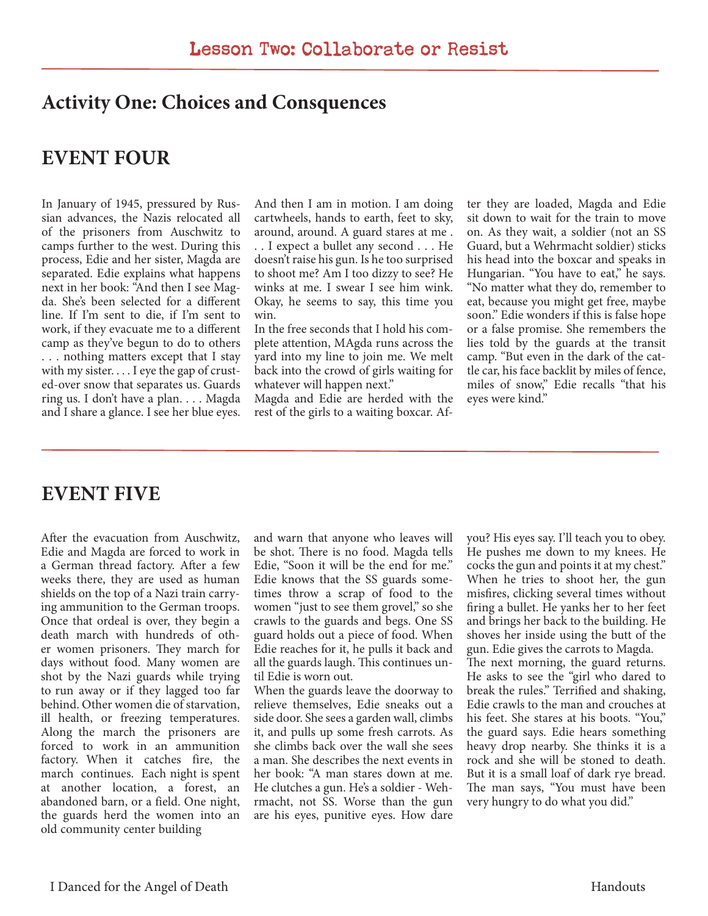#### **Activity One: Choices and Consquences**

### **EVENT FOUR**

In January of 1945, pressured by Russian advances, the Nazis relocated all of the prisoners from Auschwitz to camps further to the west. During this process, Edie and her sister, Magda are separated. Edie explains what happens next in her book: "And then I see Magda. She's been selected for a different line. If I'm sent to die, if I'm sent to work, if they evacuate me to a different camp as they've begun to do to others . . . nothing matters except that I stay with my sister. . . . I eye the gap of crusted-over snow that separates us. Guards ring us. I don't have a plan. . . . Magda and I share a glance. I see her blue eyes.

And then I am in motion. I am doing cartwheels, hands to earth, feet to sky, around, around. A guard stares at me .

. . I expect a bullet any second . . . He doesn't raise his gun. Is he too surprised to shoot me? Am I too dizzy to see? He winks at me. I swear I see him wink. Okay, he seems to say, this time you win.

In the free seconds that I hold his complete attention, MAgda runs across the yard into my line to join me. We melt back into the crowd of girls waiting for whatever will happen next."

Magda and Edie are herded with the rest of the girls to a waiting boxcar. After they are loaded, Magda and Edie sit down to wait for the train to move on. As they wait, a soldier (not an SS Guard, but a Wehrmacht soldier) sticks his head into the boxcar and speaks in Hungarian. "You have to eat," he says. "No matter what they do, remember to eat, because you might get free, maybe soon." Edie wonders if this is false hope or a false promise. She remembers the lies told by the guards at the transit camp. "But even in the dark of the cattle car, his face backlit by miles of fence, miles of snow," Edie recalls "that his eyes were kind."

### **EVENT FIVE**

After the evacuation from Auschwitz, Edie and Magda are forced to work in a German thread factory. After a few weeks there, they are used as human shields on the top of a Nazi train carrying ammunition to the German troops. Once that ordeal is over, they begin a death march with hundreds of other women prisoners. They march for days without food. Many women are shot by the Nazi guards while trying to run away or if they lagged too far behind. Other women die of starvation, ill health, or freezing temperatures. Along the march the prisoners are forced to work in an ammunition factory. When it catches fire, the march continues. Each night is spent at another location, a forest, an abandoned barn, or a field. One night, the guards herd the women into an old community center building

and warn that anyone who leaves will be shot. There is no food. Magda tells Edie, "Soon it will be the end for me." Edie knows that the SS guards sometimes throw a scrap of food to the women "just to see them grovel," so she crawls to the guards and begs. One SS guard holds out a piece of food. When Edie reaches for it, he pulls it back and all the guards laugh. This continues until Edie is worn out.

When the guards leave the doorway to relieve themselves, Edie sneaks out a side door. She sees a garden wall, climbs it, and pulls up some fresh carrots. As she climbs back over the wall she sees a man. She describes the next events in her book: "A man stares down at me. He clutches a gun. He's a soldier - Wehrmacht, not SS. Worse than the gun are his eyes, punitive eyes. How dare

you? His eyes say. I'll teach you to obey. He pushes me down to my knees. He cocks the gun and points it at my chest." When he tries to shoot her, the gun misfires, clicking several times without firing a bullet. He yanks her to her feet and brings her back to the building. He shoves her inside using the butt of the gun. Edie gives the carrots to Magda. The next morning, the guard returns. He asks to see the "girl who dared to break the rules." Terrified and shaking, Edie crawls to the man and crouches at his feet. She stares at his boots. "You," the guard says. Edie hears something heavy drop nearby. She thinks it is a rock and she will be stoned to death. But it is a small loaf of dark rye bread. The man says, "You must have been very hungry to do what you did."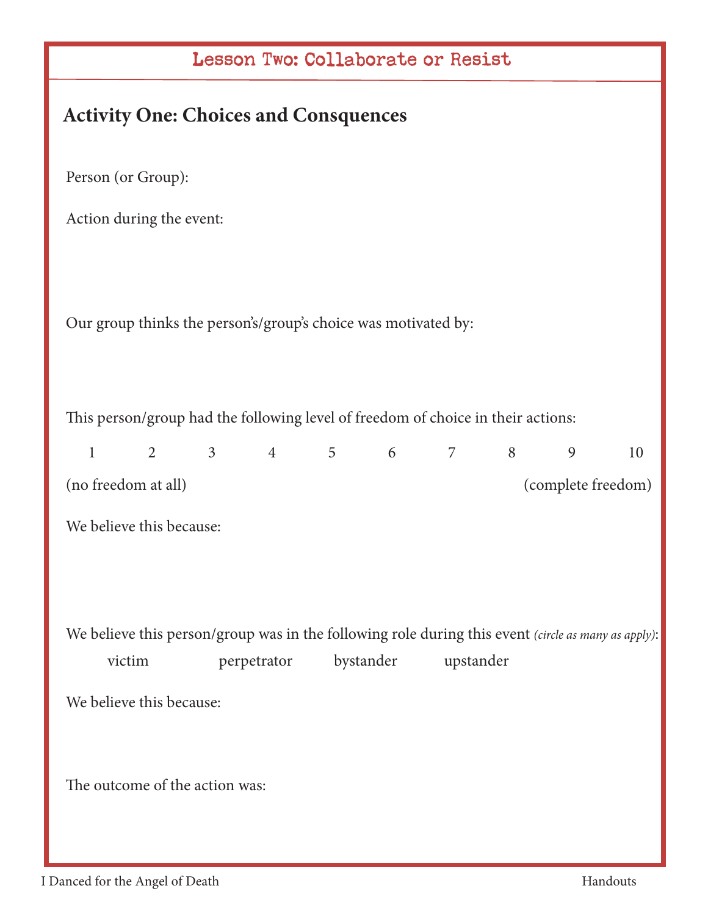| Lesson Two: Collaborate or Resist                                                                   |  |  |  |  |
|-----------------------------------------------------------------------------------------------------|--|--|--|--|
| <b>Activity One: Choices and Consquences</b>                                                        |  |  |  |  |
| Person (or Group):                                                                                  |  |  |  |  |
| Action during the event:                                                                            |  |  |  |  |
|                                                                                                     |  |  |  |  |
| Our group thinks the person's/group's choice was motivated by:                                      |  |  |  |  |
|                                                                                                     |  |  |  |  |
| This person/group had the following level of freedom of choice in their actions:                    |  |  |  |  |
| $2 \qquad 3 \qquad 4 \qquad 5 \qquad 6$<br>$7 \qquad \qquad 8$<br>9<br>$\mathbf{1}$<br>10           |  |  |  |  |
| (no freedom at all)<br>(complete freedom)                                                           |  |  |  |  |
| We believe this because:                                                                            |  |  |  |  |
|                                                                                                     |  |  |  |  |
|                                                                                                     |  |  |  |  |
| We believe this person/group was in the following role during this event (circle as many as apply): |  |  |  |  |
| bystander<br>upstander<br>victim<br>perpetrator                                                     |  |  |  |  |
| We believe this because:                                                                            |  |  |  |  |
|                                                                                                     |  |  |  |  |
| The outcome of the action was:                                                                      |  |  |  |  |
|                                                                                                     |  |  |  |  |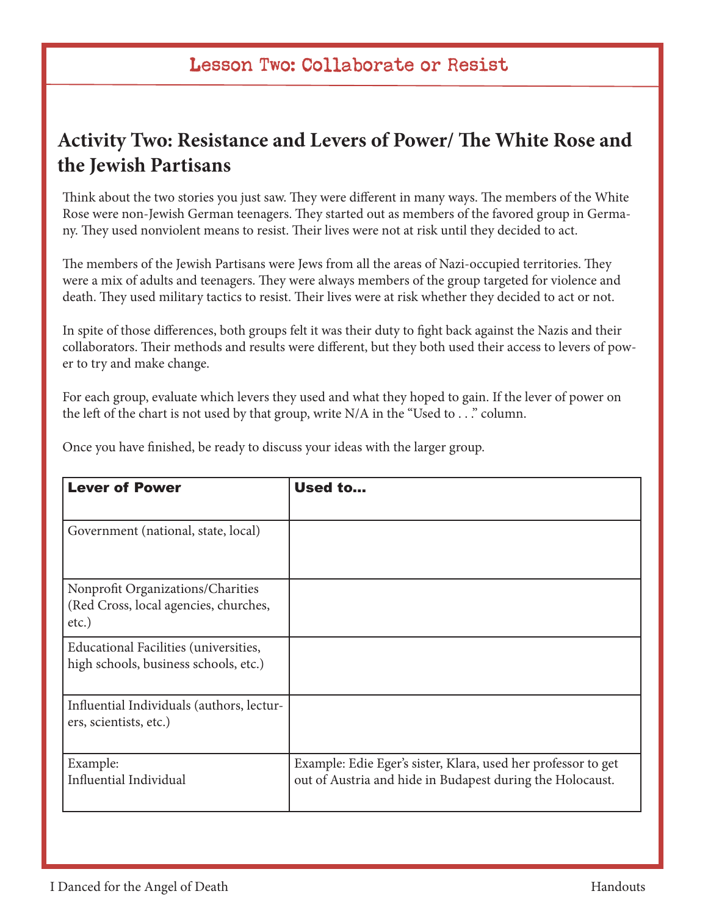# **Activity Two: Resistance and Levers of Power/ The White Rose and the Jewish Partisans**

Think about the two stories you just saw. They were different in many ways. The members of the White Rose were non-Jewish German teenagers. They started out as members of the favored group in Germany. They used nonviolent means to resist. Their lives were not at risk until they decided to act.

The members of the Jewish Partisans were Jews from all the areas of Nazi-occupied territories. They were a mix of adults and teenagers. They were always members of the group targeted for violence and death. They used military tactics to resist. Their lives were at risk whether they decided to act or not.

In spite of those differences, both groups felt it was their duty to fight back against the Nazis and their collaborators. Their methods and results were different, but they both used their access to levers of power to try and make change.

For each group, evaluate which levers they used and what they hoped to gain. If the lever of power on the left of the chart is not used by that group, write N/A in the "Used to . . ." column.

Once you have finished, be ready to discuss your ideas with the larger group.

| <b>Lever of Power</b>                                                                  | Used to                                                                                                                    |
|----------------------------------------------------------------------------------------|----------------------------------------------------------------------------------------------------------------------------|
| Government (national, state, local)                                                    |                                                                                                                            |
| Nonprofit Organizations/Charities<br>(Red Cross, local agencies, churches,<br>$etc.$ ) |                                                                                                                            |
| Educational Facilities (universities,<br>high schools, business schools, etc.)         |                                                                                                                            |
| Influential Individuals (authors, lectur-<br>ers, scientists, etc.)                    |                                                                                                                            |
| Example:<br>Influential Individual                                                     | Example: Edie Eger's sister, Klara, used her professor to get<br>out of Austria and hide in Budapest during the Holocaust. |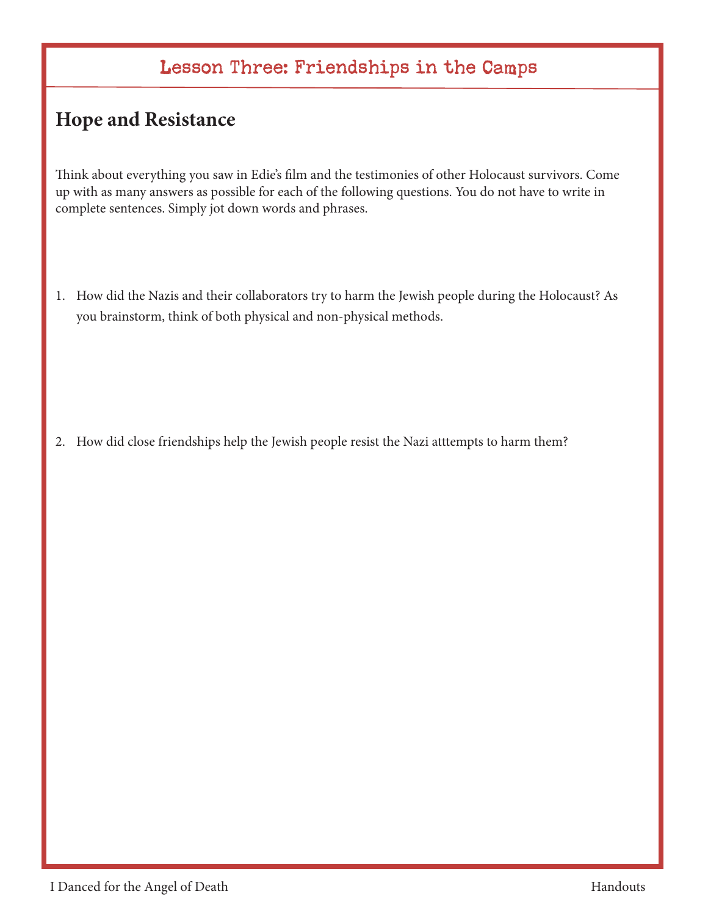# Lesson Three: Friendships in the Camps

# **Hope and Resistance**

Think about everything you saw in Edie's film and the testimonies of other Holocaust survivors. Come up with as many answers as possible for each of the following questions. You do not have to write in complete sentences. Simply jot down words and phrases.

1. How did the Nazis and their collaborators try to harm the Jewish people during the Holocaust? As you brainstorm, think of both physical and non-physical methods.

2. How did close friendships help the Jewish people resist the Nazi atttempts to harm them?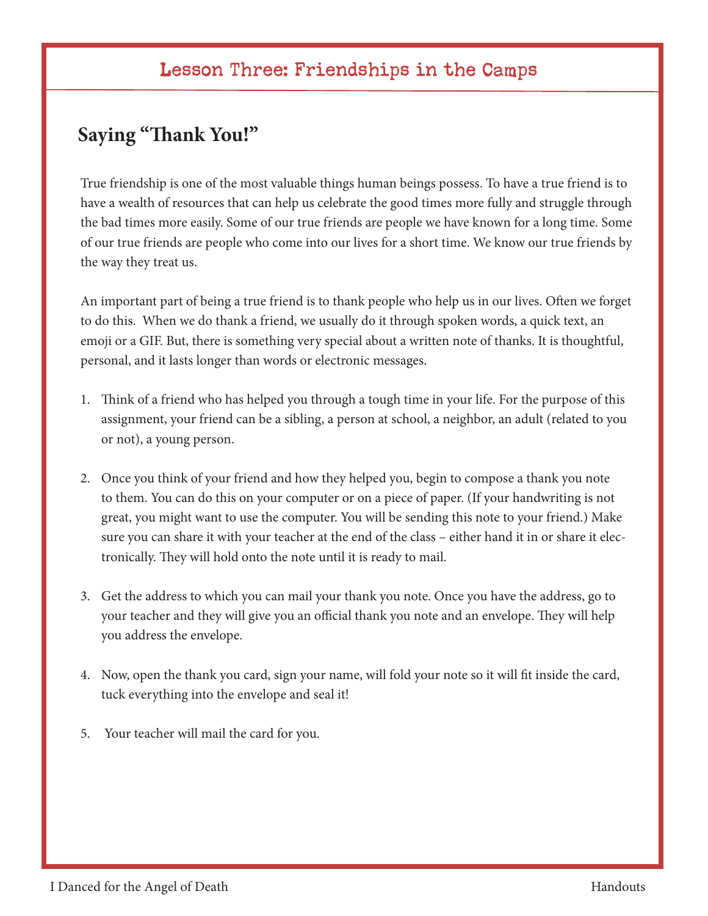# Lesson Three: Friendships in the Camps

# **Saying "Thank You!"**

True friendship is one of the most valuable things human beings possess. To have a true friend is to have a wealth of resources that can help us celebrate the good times more fully and struggle through the bad times more easily. Some of our true friends are people we have known for a long time. Some of our true friends are people who come into our lives for a short time. We know our true friends by the way they treat us.

An important part of being a true friend is to thank people who help us in our lives. Often we forget to do this. When we do thank a friend, we usually do it through spoken words, a quick text, an emoji or a GIF. But, there is something very special about a written note of thanks. It is thoughtful, personal, and it lasts longer than words or electronic messages.

- 1. Think of a friend who has helped you through a tough time in your life. For the purpose of this assignment, your friend can be a sibling, a person at school, a neighbor, an adult (related to you or not), a young person.
- 2. Once you think of your friend and how they helped you, begin to compose a thank you note to them. You can do this on your computer or on a piece of paper. (If your handwriting is not great, you might want to use the computer. You will be sending this note to your friend.) Make sure you can share it with your teacher at the end of the class – either hand it in or share it electronically. They will hold onto the note until it is ready to mail.
- 3. Get the address to which you can mail your thank you note. Once you have the address, go to your teacher and they will give you an official thank you note and an envelope. They will help you address the envelope.
- 4. Now, open the thank you card, sign your name, will fold your note so it will fit inside the card, tuck everything into the envelope and seal it!
- 5. Your teacher will mail the card for you.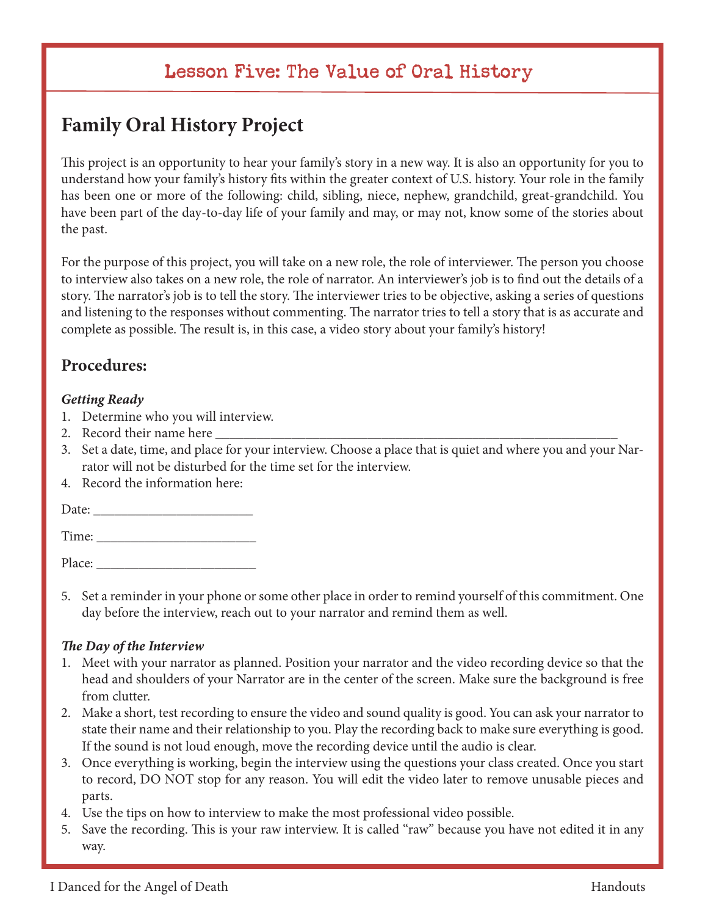# Lesson Five: The Value of Oral History

# **Family Oral History Project**

This project is an opportunity to hear your family's story in a new way. It is also an opportunity for you to understand how your family's history fits within the greater context of U.S. history. Your role in the family has been one or more of the following: child, sibling, niece, nephew, grandchild, great-grandchild. You have been part of the day-to-day life of your family and may, or may not, know some of the stories about the past.

For the purpose of this project, you will take on a new role, the role of interviewer. The person you choose to interview also takes on a new role, the role of narrator. An interviewer's job is to find out the details of a story. The narrator's job is to tell the story. The interviewer tries to be objective, asking a series of questions and listening to the responses without commenting. The narrator tries to tell a story that is as accurate and complete as possible. The result is, in this case, a video story about your family's history!

#### **Procedures:**

#### *Getting Ready*

- 1. Determine who you will interview.
- 2. Record their name here
- 3. Set a date, time, and place for your interview. Choose a place that is quiet and where you and your Narrator will not be disturbed for the time set for the interview.
- 4. Record the information here:

Date: \_\_\_\_\_\_\_\_\_\_\_\_\_\_\_\_\_\_\_\_\_\_\_

Time:

Place:

5. Set a reminder in your phone or some other place in order to remind yourself of this commitment. One day before the interview, reach out to your narrator and remind them as well.

#### *The Day of the Interview*

- 1. Meet with your narrator as planned. Position your narrator and the video recording device so that the head and shoulders of your Narrator are in the center of the screen. Make sure the background is free from clutter.
- 2. Make a short, test recording to ensure the video and sound quality is good. You can ask your narrator to state their name and their relationship to you. Play the recording back to make sure everything is good. If the sound is not loud enough, move the recording device until the audio is clear.
- 3. Once everything is working, begin the interview using the questions your class created. Once you start to record, DO NOT stop for any reason. You will edit the video later to remove unusable pieces and parts.
- 4. Use the tips on how to interview to make the most professional video possible.
- 5. Save the recording. This is your raw interview. It is called "raw" because you have not edited it in any way.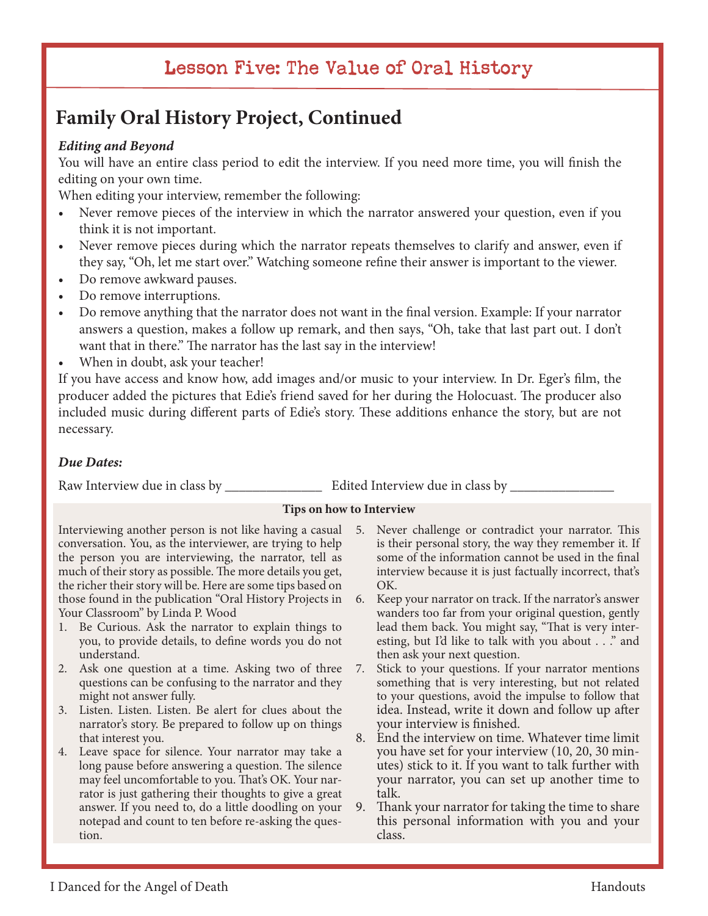# Lesson Five: The Value of Oral History

# **Family Oral History Project, Continued**

#### *Editing and Beyond*

You will have an entire class period to edit the interview. If you need more time, you will finish the editing on your own time.

When editing your interview, remember the following:

- Never remove pieces of the interview in which the narrator answered your question, even if you think it is not important.
- Never remove pieces during which the narrator repeats themselves to clarify and answer, even if they say, "Oh, let me start over." Watching someone refine their answer is important to the viewer.
- Do remove awkward pauses.
- Do remove interruptions.
- Do remove anything that the narrator does not want in the final version. Example: If your narrator answers a question, makes a follow up remark, and then says, "Oh, take that last part out. I don't want that in there." The narrator has the last say in the interview!
- When in doubt, ask your teacher!

If you have access and know how, add images and/or music to your interview. In Dr. Eger's film, the producer added the pictures that Edie's friend saved for her during the Holocuast. The producer also included music during different parts of Edie's story. These additions enhance the story, but are not necessary.

#### *Due Dates:*

Raw Interview due in class by \_\_\_\_\_\_\_\_\_\_\_\_\_\_ Edited Interview due in class by \_\_\_\_\_\_\_\_\_\_\_\_\_\_\_

#### **Tips on how to Interview**

Interviewing another person is not like having a casual 5. Never challenge or contradict your narrator. This conversation. You, as the interviewer, are trying to help the person you are interviewing, the narrator, tell as much of their story as possible. The more details you get, the richer their story will be. Here are some tips based on those found in the publication "Oral History Projects in Your Classroom" by Linda P. Wood

- 1. Be Curious. Ask the narrator to explain things to you, to provide details, to define words you do not understand.
- 2. Ask one question at a time. Asking two of three questions can be confusing to the narrator and they might not answer fully.
- 3. Listen. Listen. Listen. Be alert for clues about the narrator's story. Be prepared to follow up on things that interest you.
- 4. Leave space for silence. Your narrator may take a long pause before answering a question. The silence may feel uncomfortable to you. That's OK. Your narrator is just gathering their thoughts to give a great answer. If you need to, do a little doodling on your notepad and count to ten before re-asking the question.
- is their personal story, the way they remember it. If some of the information cannot be used in the final interview because it is just factually incorrect, that's OK.
- 6. Keep your narrator on track. If the narrator's answer wanders too far from your original question, gently lead them back. You might say, "That is very interesting, but I'd like to talk with you about . . ." and then ask your next question.
- 7. Stick to your questions. If your narrator mentions something that is very interesting, but not related to your questions, avoid the impulse to follow that idea. Instead, write it down and follow up after your interview is finished.
- 8. End the interview on time. Whatever time limit you have set for your interview (10, 20, 30 minutes) stick to it. If you want to talk further with your narrator, you can set up another time to talk.
- 9. Thank your narrator for taking the time to share this personal information with you and your class.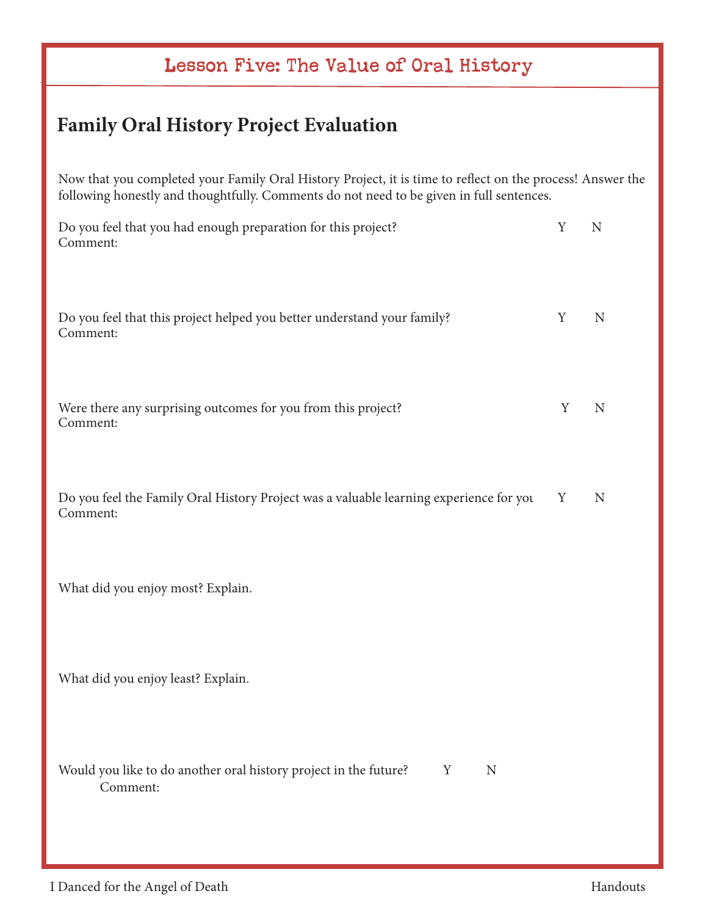# Lesson Five: The Value of Oral History

# **Family Oral History Project Evaluation**

Now that you completed your Family Oral History Project, it is time to reflect on the process! Answer the following honestly and thoughtfully. Comments do not need to be given in full sentences.

| Do you feel that you had enough preparation for this project?<br>Comment:                          | Y | N           |
|----------------------------------------------------------------------------------------------------|---|-------------|
| Do you feel that this project helped you better understand your family?<br>Comment:                | Y | $\mathbf N$ |
| Were there any surprising outcomes for you from this project?<br>Comment:                          | Y | $\mathbf N$ |
| Do you feel the Family Oral History Project was a valuable learning experience for you<br>Comment: | Y | $\mathbf N$ |
| What did you enjoy most? Explain.                                                                  |   |             |
| What did you enjoy least? Explain.                                                                 |   |             |
| Would you like to do another oral history project in the future?<br>Y<br>N<br>Comment:             |   |             |